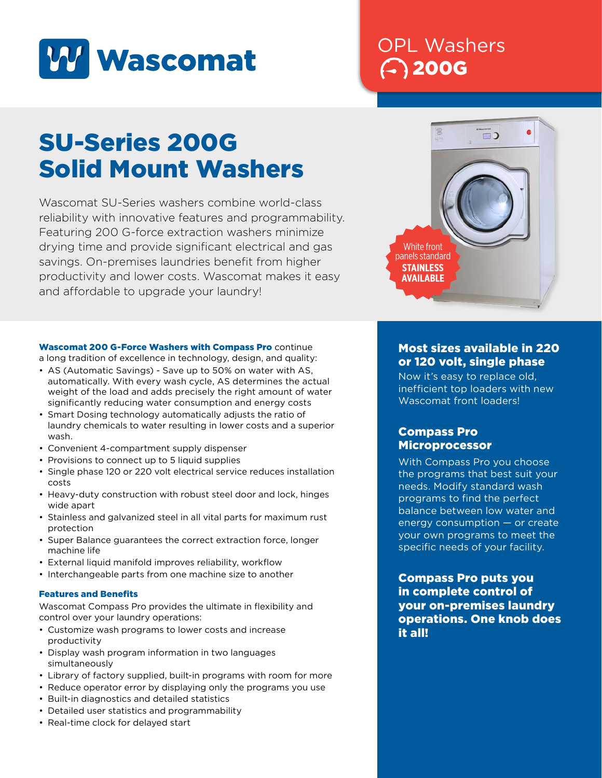

## OPL Washers 200G

# SU-Series 200G Solid Mount Washers

Wascomat SU-Series washers combine world-class reliability with innovative features and programmability. Featuring 200 G-force extraction washers minimize drying time and provide significant electrical and gas savings. On-premises laundries benefit from higher productivity and lower costs. Wascomat makes it easy and affordable to upgrade your laundry!



#### Wascomat 200 G-Force Washers with Compass Pro continue

a long tradition of excellence in technology, design, and quality:

- AS (Automatic Savings) Save up to 50% on water with AS, automatically. With every wash cycle, AS determines the actual weight of the load and adds precisely the right amount of water significantly reducing water consumption and energy costs
- Smart Dosing technology automatically adjusts the ratio of laundry chemicals to water resulting in lower costs and a superior wash.
- Convenient 4-compartment supply dispenser
- Provisions to connect up to 5 liquid supplies
- Single phase 120 or 220 volt electrical service reduces installation costs
- Heavy-duty construction with robust steel door and lock, hinges wide apart
- Stainless and galvanized steel in all vital parts for maximum rust protection
- Super Balance guarantees the correct extraction force, longer machine life
- External liquid manifold improves reliability, workflow
- Interchangeable parts from one machine size to another

#### Features and Benefits

Wascomat Compass Pro provides the ultimate in flexibility and control over your laundry operations:

- Customize wash programs to lower costs and increase productivity
- Display wash program information in two languages simultaneously
- Library of factory supplied, built-in programs with room for more
- Reduce operator error by displaying only the programs you use
- Built-in diagnostics and detailed statistics
- Detailed user statistics and programmability
- Real-time clock for delayed start

#### Most sizes available in 220 or 120 volt, single phase

Now it's easy to replace old, inefficient top loaders with new Wascomat front loaders!

#### Compass Pro Microprocessor

With Compass Pro you choose the programs that best suit your needs. Modify standard wash programs to find the perfect balance between low water and energy consumption — or create your own programs to meet the specific needs of your facility.

Compass Pro puts you in complete control of your on-premises laundry operations. One knob does it all!